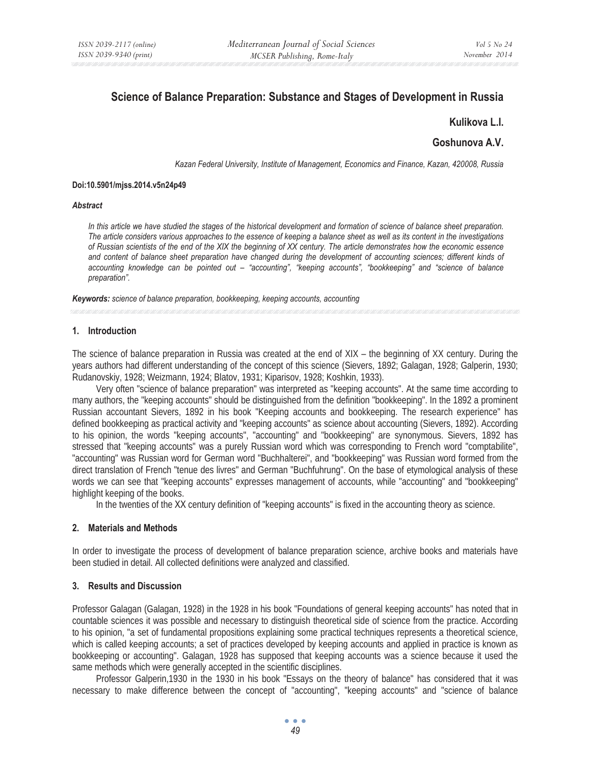# **Science of Balance Preparation: Substance and Stages of Development in Russia**

# **Kulikova L.I.**

# **Goshunova A.V.**

*Kazan Federal University, Institute of Management, Economics and Finance, Kazan, 420008, Russia* 

### **Doi:10.5901/mjss.2014.v5n24p49**

#### *Abstract*

*In this article we have studied the stages of the historical development and formation of science of balance sheet preparation. The article considers various approaches to the essence of keeping a balance sheet as well as its content in the investigations of Russian scientists of the end of the XIX the beginning of XX century. The article demonstrates how the economic essence*  and content of balance sheet preparation have changed during the development of accounting sciences; different kinds of *accounting knowledge can be pointed out – "accounting", "keeping accounts", "bookkeeping" and "science of balance preparation".* 

*Keywords: science of balance preparation, bookkeeping, keeping accounts, accounting* 

## **1. Introduction**

The science of balance preparation in Russia was created at the end of XIX – the beginning of XX century. During the years authors had different understanding of the concept of this science (Sievers, 1892; Galagan, 1928; Galperin, 1930; Rudanovskiy, 1928; Weizmann, 1924; Blatov, 1931; Kiparisov, 1928; Koshkin, 1933).

Very often "science of balance preparation" was interpreted as "keeping accounts". At the same time according to many authors, the "keeping accounts" should be distinguished from the definition "bookkeeping". In the 1892 a prominent Russian accountant Sievers, 1892 in his book "Keeping accounts and bookkeeping. The research experience" has defined bookkeeping as practical activity and "keeping accounts" as science about accounting (Sievers, 1892). According to his opinion, the words "keeping accounts", "accounting" and "bookkeeping" are synonymous. Sievers, 1892 has stressed that "keeping accounts" was a purely Russian word which was corresponding to French word "comptabilite", "accounting" was Russian word for German word "Buchhalterei", and "bookkeeping" was Russian word formed from the direct translation of French "tenue des livres" and German "Buchfuhrung". On the base of etymological analysis of these words we can see that "keeping accounts" expresses management of accounts, while "accounting" and "bookkeeping" highlight keeping of the books.

In the twenties of the XX century definition of "keeping accounts" is fixed in the accounting theory as science.

## **2. Materials and Methods**

In order to investigate the process of development of balance preparation science, archive books and materials have been studied in detail. All collected definitions were analyzed and classified.

## **3. Results and Discussion**

Professor Galagan (Galagan, 1928) in the 1928 in his book "Foundations of general keeping accounts" has noted that in countable sciences it was possible and necessary to distinguish theoretical side of science from the practice. According to his opinion, "a set of fundamental propositions explaining some practical techniques represents a theoretical science, which is called keeping accounts; a set of practices developed by keeping accounts and applied in practice is known as bookkeeping or accounting". Galagan, 1928 has supposed that keeping accounts was a science because it used the same methods which were generally accepted in the scientific disciplines.

Professor Galperin,1930 in the 1930 in his book "Essays on the theory of balance" has considered that it was necessary to make difference between the concept of "accounting", "keeping accounts" and "science of balance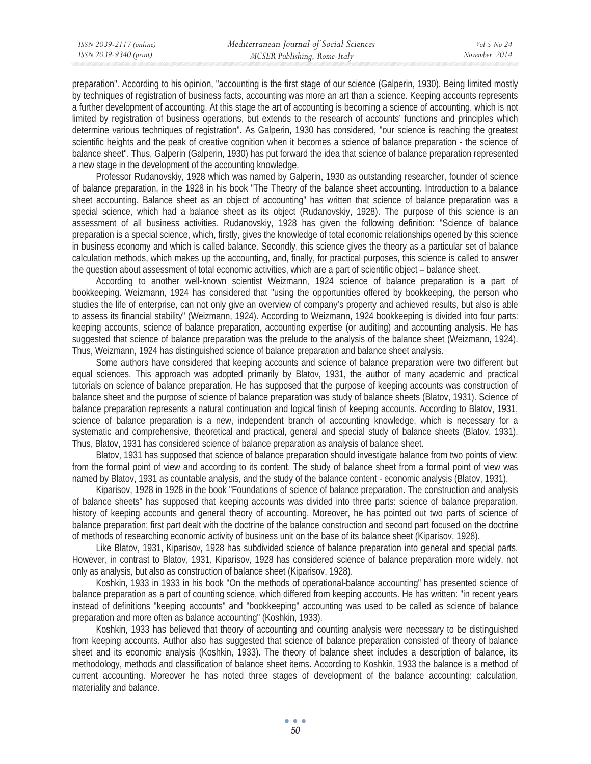preparation". According to his opinion, "accounting is the first stage of our science (Galperin, 1930). Being limited mostly by techniques of registration of business facts, accounting was more an art than a science. Keeping accounts represents a further development of accounting. At this stage the art of accounting is becoming a science of accounting, which is not limited by registration of business operations, but extends to the research of accounts' functions and principles which determine various techniques of registration". As Galperin, 1930 has considered, "our science is reaching the greatest scientific heights and the peak of creative cognition when it becomes a science of balance preparation - the science of balance sheet". Thus, Galperin (Galperin, 1930) has put forward the idea that science of balance preparation represented a new stage in the development of the accounting knowledge.

Professor Rudanovskiy, 1928 which was named by Galperin, 1930 as outstanding researcher, founder of science of balance preparation, in the 1928 in his book "The Theory of the balance sheet accounting. Introduction to a balance sheet accounting. Balance sheet as an object of accounting" has written that science of balance preparation was a special science, which had a balance sheet as its object (Rudanovskiy, 1928). The purpose of this science is an assessment of all business activities. Rudanovskiy, 1928 has given the following definition: "Science of balance preparation is a special science, which, firstly, gives the knowledge of total economic relationships opened by this science in business economy and which is called balance. Secondly, this science gives the theory as a particular set of balance calculation methods, which makes up the accounting, and, finally, for practical purposes, this science is called to answer the question about assessment of total economic activities, which are a part of scientific object – balance sheet.

According to another well-known scientist Weizmann, 1924 science of balance preparation is a part of bookkeeping. Weizmann, 1924 has considered that "using the opportunities offered by bookkeeping, the person who studies the life of enterprise, can not only give an overview of company's property and achieved results, but also is able to assess its financial stability" (Weizmann, 1924). According to Weizmann, 1924 bookkeeping is divided into four parts: keeping accounts, science of balance preparation, accounting expertise (or auditing) and accounting analysis. He has suggested that science of balance preparation was the prelude to the analysis of the balance sheet (Weizmann, 1924). Thus, Weizmann, 1924 has distinguished science of balance preparation and balance sheet analysis.

Some authors have considered that keeping accounts and science of balance preparation were two different but equal sciences. This approach was adopted primarily by Blatov, 1931, the author of many academic and practical tutorials on science of balance preparation. He has supposed that the purpose of keeping accounts was construction of balance sheet and the purpose of science of balance preparation was study of balance sheets (Blatov, 1931). Science of balance preparation represents a natural continuation and logical finish of keeping accounts. According to Blatov, 1931, science of balance preparation is a new, independent branch of accounting knowledge, which is necessary for a systematic and comprehensive, theoretical and practical, general and special study of balance sheets (Blatov, 1931). Thus, Blatov, 1931 has considered science of balance preparation as analysis of balance sheet.

Blatov, 1931 has supposed that science of balance preparation should investigate balance from two points of view: from the formal point of view and according to its content. The study of balance sheet from a formal point of view was named by Blatov, 1931 as countable analysis, and the study of the balance content - economic analysis (Blatov, 1931).

Kiparisov, 1928 in 1928 in the book "Foundations of science of balance preparation. The construction and analysis of balance sheets" has supposed that keeping accounts was divided into three parts: science of balance preparation, history of keeping accounts and general theory of accounting. Moreover, he has pointed out two parts of science of balance preparation: first part dealt with the doctrine of the balance construction and second part focused on the doctrine of methods of researching economic activity of business unit on the base of its balance sheet (Kiparisov, 1928).

Like Blatov, 1931, Kiparisov, 1928 has subdivided science of balance preparation into general and special parts. However, in contrast to Blatov, 1931, Kiparisov, 1928 has considered science of balance preparation more widely, not only as analysis, but also as construction of balance sheet (Kiparisov, 1928).

Koshkin, 1933 in 1933 in his book "On the methods of operational-balance accounting" has presented science of balance preparation as a part of counting science, which differed from keeping accounts. He has written: "in recent years instead of definitions "keeping accounts" and "bookkeeping" accounting was used to be called as science of balance preparation and more often as balance accounting" (Koshkin, 1933).

Koshkin, 1933 has believed that theory of accounting and counting analysis were necessary to be distinguished from keeping accounts. Author also has suggested that science of balance preparation consisted of theory of balance sheet and its economic analysis (Koshkin, 1933). The theory of balance sheet includes a description of balance, its methodology, methods and classification of balance sheet items. According to Koshkin, 1933 the balance is a method of current accounting. Moreover he has noted three stages of development of the balance accounting: calculation, materiality and balance.